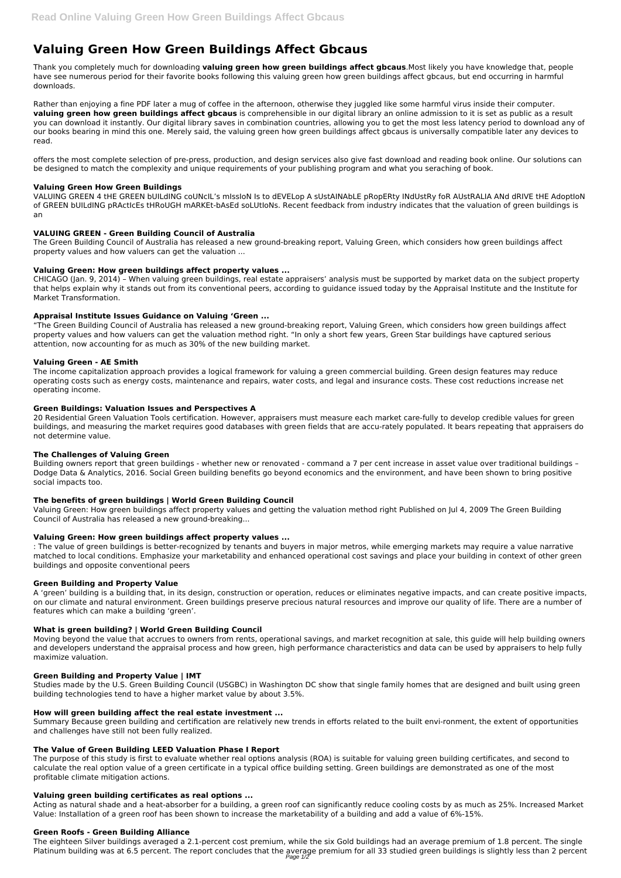# **Valuing Green How Green Buildings Affect Gbcaus**

Thank you completely much for downloading **valuing green how green buildings affect gbcaus**.Most likely you have knowledge that, people have see numerous period for their favorite books following this valuing green how green buildings affect gbcaus, but end occurring in harmful downloads.

Rather than enjoying a fine PDF later a mug of coffee in the afternoon, otherwise they juggled like some harmful virus inside their computer. **valuing green how green buildings affect gbcaus** is comprehensible in our digital library an online admission to it is set as public as a result you can download it instantly. Our digital library saves in combination countries, allowing you to get the most less latency period to download any of our books bearing in mind this one. Merely said, the valuing green how green buildings affect gbcaus is universally compatible later any devices to read.

offers the most complete selection of pre-press, production, and design services also give fast download and reading book online. Our solutions can be designed to match the complexity and unique requirements of your publishing program and what you seraching of book.

## **Valuing Green How Green Buildings**

VALUING GREEN 4 tHE GREEN bUILdING coUNcIL's mIssIoN Is to dEVELop A sUstAINAbLE pRopERty INdUstRy foR AUstRALIA ANd dRIVE tHE AdoptIoN of GREEN bUILdING pRActIcEs tHRoUGH mARKEt-bAsEd soLUtIoNs. Recent feedback from industry indicates that the valuation of green buildings is an

## **VALUING GREEN - Green Building Council of Australia**

The Green Building Council of Australia has released a new ground-breaking report, Valuing Green, which considers how green buildings affect property values and how valuers can get the valuation ...

## **Valuing Green: How green buildings affect property values ...**

CHICAGO (Jan. 9, 2014) – When valuing green buildings, real estate appraisers' analysis must be supported by market data on the subject property that helps explain why it stands out from its conventional peers, according to guidance issued today by the Appraisal Institute and the Institute for Market Transformation.

#### **Appraisal Institute Issues Guidance on Valuing 'Green ...**

"The Green Building Council of Australia has released a new ground-breaking report, Valuing Green, which considers how green buildings affect property values and how valuers can get the valuation method right. "In only a short few years, Green Star buildings have captured serious attention, now accounting for as much as 30% of the new building market.

#### **Valuing Green - AE Smith**

The income capitalization approach provides a logical framework for valuing a green commercial building. Green design features may reduce operating costs such as energy costs, maintenance and repairs, water costs, and legal and insurance costs. These cost reductions increase net operating income.

#### **Green Buildings: Valuation Issues and Perspectives A**

20 Residential Green Valuation Tools certification. However, appraisers must measure each market care-fully to develop credible values for green buildings, and measuring the market requires good databases with green fields that are accu-rately populated. It bears repeating that appraisers do not determine value.

The eighteen Silver buildings averaged a 2.1-percent cost premium, while the six Gold buildings had an average premium of 1.8 percent. The single Platinum building was at 6.5 percent. The report concludes that the average premium for all 33 studied green buildings is slightly less than 2 percent Page  $1/2$ 

## **The Challenges of Valuing Green**

Building owners report that green buildings - whether new or renovated - command a 7 per cent increase in asset value over traditional buildings – Dodge Data & Analytics, 2016. Social Green building benefits go beyond economics and the environment, and have been shown to bring positive social impacts too.

## **The benefits of green buildings | World Green Building Council**

Valuing Green: How green buildings affect property values and getting the valuation method right Published on Jul 4, 2009 The Green Building Council of Australia has released a new ground-breaking...

#### **Valuing Green: How green buildings affect property values ...**

: The value of green buildings is better-recognized by tenants and buyers in major metros, while emerging markets may require a value narrative matched to local conditions. Emphasize your marketability and enhanced operational cost savings and place your building in context of other green buildings and opposite conventional peers

#### **Green Building and Property Value**

A 'green' building is a building that, in its design, construction or operation, reduces or eliminates negative impacts, and can create positive impacts, on our climate and natural environment. Green buildings preserve precious natural resources and improve our quality of life. There are a number of features which can make a building 'green'.

## **What is green building? | World Green Building Council**

Moving beyond the value that accrues to owners from rents, operational savings, and market recognition at sale, this guide will help building owners and developers understand the appraisal process and how green, high performance characteristics and data can be used by appraisers to help fully maximize valuation.

#### **Green Building and Property Value | IMT**

Studies made by the U.S. Green Building Council (USGBC) in Washington DC show that single family homes that are designed and built using green building technologies tend to have a higher market value by about 3.5%.

#### **How will green building affect the real estate investment ...**

Summary Because green building and certification are relatively new trends in efforts related to the built envi-ronment, the extent of opportunities and challenges have still not been fully realized.

#### **The Value of Green Building LEED Valuation Phase I Report**

The purpose of this study is first to evaluate whether real options analysis (ROA) is suitable for valuing green building certificates, and second to calculate the real option value of a green certificate in a typical office building setting. Green buildings are demonstrated as one of the most profitable climate mitigation actions.

#### **Valuing green building certificates as real options ...**

Acting as natural shade and a heat-absorber for a building, a green roof can significantly reduce cooling costs by as much as 25%. Increased Market Value: Installation of a green roof has been shown to increase the marketability of a building and add a value of 6%-15%.

#### **Green Roofs - Green Building Alliance**